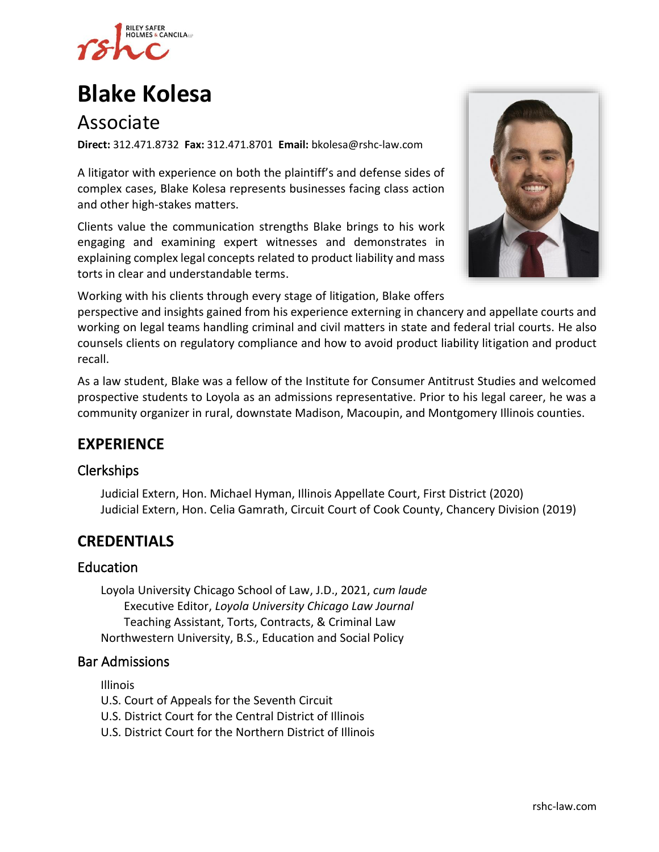

# **[Blake Kolesa](https://www.rshc-law.com/attorneys/attorney/blake-kolesa)**

# Associate

**Direct:** 312.471.8732 **Fax:** 312.471.8701 **Email:** bkolesa@rshc-law.com

A litigator with experience on both the plaintiff's and defense sides of complex cases, Blake Kolesa represents businesses facing class action and other high-stakes matters.

Clients value the communication strengths Blake brings to his work engaging and examining expert witnesses and demonstrates in explaining complex legal concepts related to product liability and mass torts in clear and understandable terms.



Working with his clients through every stage of litigation, Blake offers

perspective and insights gained from his experience externing in chancery and appellate courts and working on legal teams handling criminal and civil matters in state and federal trial courts. He also counsels clients on regulatory compliance and how to avoid product liability litigation and product recall.

As a law student, Blake was a fellow of the Institute for Consumer Antitrust Studies and welcomed prospective students to Loyola as an admissions representative. Prior to his legal career, he was a community organizer in rural, downstate Madison, Macoupin, and Montgomery Illinois counties.

# **EXPERIENCE**

#### Clerkships

Judicial Extern, Hon. Michael Hyman, Illinois Appellate Court, First District (2020) Judicial Extern, Hon. Celia Gamrath, Circuit Court of Cook County, Chancery Division (2019)

## **CREDENTIALS**

#### Education

Loyola University Chicago School of Law, J.D., 2021, *cum laude* Executive Editor, *Loyola University Chicago Law Journal* Teaching Assistant, Torts, Contracts, & Criminal Law Northwestern University, B.S., Education and Social Policy

#### Bar Admissions

Illinois

- U.S. Court of Appeals for the Seventh Circuit
- U.S. District Court for the Central District of Illinois
- U.S. District Court for the Northern District of Illinois